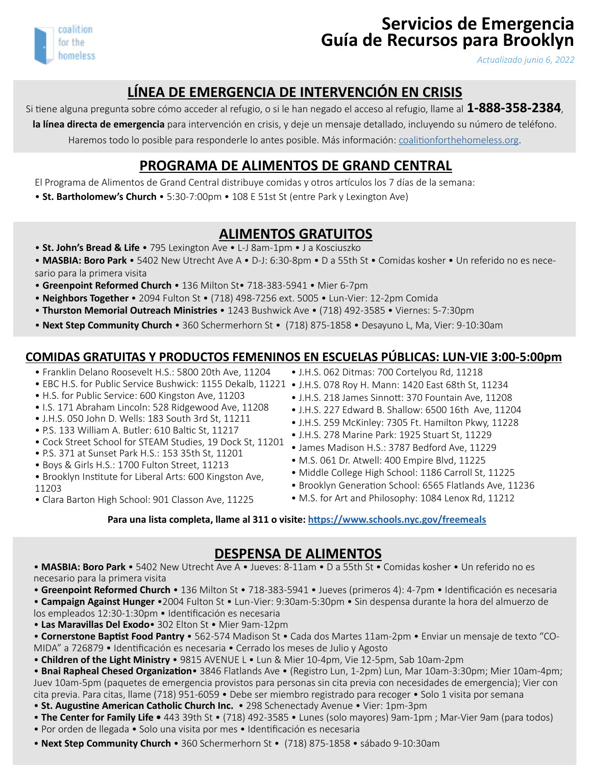

# **Servicios de Emergencia Guía de Recursos para Brooklyn**

*Actualizado junio 6, 2022*

# **LÍNEA DE EMERGENCIA DE INTERVENCIÓN EN CRISIS**

Si tiene alguna pregunta sobre cómo acceder al refugio, o si le han negado el acceso al refugio, llame al **1-888-358-2384**,

**la línea directa de emergencia** para intervención en crisis, y deje un mensaje detallado, incluyendo su número de teléfono. Haremos todo lo posible para responderle lo antes posible. Más información: [coalitionforthehomeless.org.](http://coalitionforthehomeless.org)

#### **PROGRAMA DE ALIMENTOS DE GRAND CENTRAL**

El Programa de Alimentos de Grand Central distribuye comidas y otros artículos los 7 días de la semana:

• **St. Bartholomew's Church** • 5:30-7:00pm • 108 E 51st St (entre Park y Lexington Ave)

#### **ALIMENTOS GRATUITOS**

- **St. John's Bread & Life**  795 Lexington Ave L-J 8am-1pm J a Kosciuszko
- **MASBIA: Boro Park** 5402 New Utrecht Ave A D-J: 6:30-8pm D a 55th St Comidas kosher Un referido no es necesario para la primera visita
- **Greenpoint Reformed Church**  136 Milton St• 718-383-5941 Mier 6-7pm
- **Neighbors Together** 2094 Fulton St (718) 498-7256 ext. 5005 Lun-Vier: 12-2pm Comida
- • **Thurston Memorial Outreach Ministries** 1243 Bushwick Ave (718) 492-3585 Viernes: 5-7:30pm
- **Next Step Community Church** 360 Schermerhorn St (718) 875-1858 Desayuno L, Ma, Vier: 9-10:30am

#### **COMIDAS GRATUITAS Y PRODUCTOS FEMENINOS EN ESCUELAS PÚBLICAS: LUN-VIE 3:00-5:00pm**

- Franklin Delano Roosevelt H.S.: 5800 20th Ave, 11204
- EBC H.S. for Public Service Bushwick: 1155 Dekalb, 11221 J.H.S. 078 Roy H. Mann: 1420 East 68th St, 11234
- H.S. for Public Service: 600 Kingston Ave, 11203
- I.S. 171 Abraham Lincoln: 528 Ridgewood Ave, 11208
- J.H.S. 050 John D. Wells: 183 South 3rd St, 11211
- P.S. 133 William A. Butler: 610 Baltic St, 11217
- Cock Street School for STEAM Studies, 19 Dock St, 11201
- P.S. 371 at Sunset Park H.S.: 153 35th St, 11201
- Boys & Girls H.S.: 1700 Fulton Street, 11213
- Brooklyn Institute for Liberal Arts: 600 Kingston Ave, 11203
- Clara Barton High School: 901 Classon Ave, 11225
- J.H.S. 062 Ditmas: 700 Cortelyou Rd, 11218
- 
- J.H.S. 218 James Sinnott: 370 Fountain Ave, 11208
- J.H.S. 227 Edward B. Shallow: 6500 16th Ave, 11204
- J.H.S. 259 McKinley: 7305 Ft. Hamilton Pkwy, 11228
- J.H.S. 278 Marine Park: 1925 Stuart St, 11229
- James Madison H.S.: 3787 Bedford Ave, 11229
- M.S. 061 Dr. Atwell: 400 Empire Blvd, 11225
- Middle College High School: 1186 Carroll St, 11225
- Brooklyn Generation School: 6565 Flatlands Ave, 11236
- M.S. for Art and Philosophy: 1084 Lenox Rd, 11212

**Para una lista completa, llame al 311 o visite: <https://www.schools.nyc.gov/freemeals>**

**DESPENSA DE ALIMENTOS** • **MASBIA: Boro Park** • 5402 New Utrecht Ave A • Jueves: 8-11am • D a 55th St • Comidas kosher • Un referido no es necesario para la primera visita

• **Greenpoint Reformed Church** • 136 Milton St • 718-383-5941 • Jueves (primeros 4): 4-7pm • Identificación es necesaria

• **Campaign Against Hunger** •2004 Fulton St • Lun -Vier: 9:30am-5:30pm • Sin despensa durante la hora del almuerzo de los empleados 12:30-1:30pm • Identificación es necesaria

• **Las Maravillas Del Exodo**• 302 Elton St • Mier 9am-12pm

• **Cornerstone Baptist Food Pantry** • 562-574 Madison St • Cada dos Martes 11am-2pm • Enviar un mensaje de texto "CO-MIDA" a 726879 • Identificación es necesaria • Cerrado los meses de Julio y Agosto

• **Children of the Light Ministry** • 9815 AVENUE L • Lun & Mier 10-4pm, Vie 12-5pm, Sab 10am-2pm

• **Bnai Rapheal Chesed Organization**• 3846 Flatlands Ave • (Registro Lun, 1-2pm) Lun, Mar 10am-3:30pm; Mier 10am-4pm; Juev 10am-5pm (paquetes de emergencia provistos para personas sin cita previa con necesidades de emergencia); Vier con cita previa. Para citas, llame (718) 951-6059 • Debe ser miembro registrado para recoger • Solo 1 visita por semana

• **St. Augustine American Catholic Church Inc.** • 298 Schenectady Avenue • Vier: 1pm-3pm

• **The Center for Family Life •** 443 39th St • (718) 492-3585 • Lunes (solo mayores) 9am-1pm ; Mar-Vier 9am (para todos)

- Por orden de llegada Solo una visita por mes Identificación es necesaria
- **Next Step Community Church** 360 Schermerhorn St (718) 875-1858 sábado 9-10:30am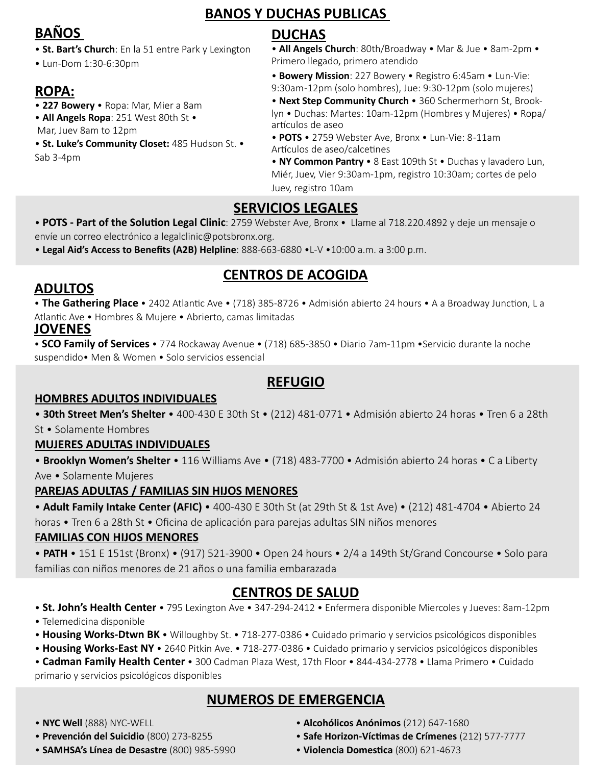#### **BANOS Y DUCHAS PUBLICAS**

# **BAÑOS**

- **St. Bart's Church**: En la 51 entre Park y Lexington
- Lun-Dom 1:30-6:30pm

# **ROPA:**

- • **227 Bowery** Ropa: Mar, Mier a 8am
- **All Angels Ropa**: 251 West 80th St •

Mar, Juev 8am to 12pm

• **St. Luke's Community Closet:** 485 Hudson St. • Sab 3-4pm

# **DUCHAS**

• **All Angels Church**: 80th/Broadway • Mar & Jue • 8am-2pm • Primero llegado, primero atendido

• **Bowery Mission**: 227 Bowery • Registro 6:45am • Lun-Vie: 9:30am -12pm (solo hombres), Jue: 9:30-12pm (solo mujeres)

• **Next Step Community Church** • 360 Schermerhorn St, Brooklyn • Duchas: Martes: 10am-12pm (Hombres y Mujeres) • Ropa/ artículos de aseo

• **POTS** • 2759 Webster Ave, Bronx • Lun-Vie: 8 -11am Artículos de aseo/calcetines

• **NY Common Pantry** • 8 East 109th St • Duchas y lavadero Lun, Miér, Juev, Vier 9:30am-1pm, registro 10:30am; cortes de pelo Juev, registro 10am

# **SERVICIOS LEGALES**

• **POTS - Part of the Solution Legal Clinic**: 2759 Webster Ave, Bronx • Llame al 718.220.4892 y deje un mensaje o envíe un correo electrónico a legalclinic@potsbronx.org.

• **Legal Aid's Access to Benefits (A2B) Helpline**: 888-663-6880 •L-V •10:00 a.m. a 3:00 p.m.

# **CENTROS DE ACOGIDA**

### **ADULTOS**

• **The Gathering Place** • 2402 Atlantic Ave • (718) 385-8726 • Admisión abierto 24 hours • A a Broadway Junction, L a Atlantic Ave • Hombres & Mujere • Abrierto, camas limitadas

#### **JOVENES**

• **SCO Family of Services** • 774 Rockaway Avenue • (718) 685-3850 • Diario 7am-11pm •Servicio durante la noche suspendido• Men & Women • Solo servicios essencial

# **REFUGIO**

#### **HOMBRES ADULTOS INDIVIDUALES**

• **30th Street Men's Shelter** • 400-430 E 30th St • (212) 481-0771 • Admisión abierto 24 horas • Tren 6 a 28th St • Solamente Hombres

#### **MUJERES ADULTAS INDIVIDUALES**

• **Brooklyn Women's Shelter** • 116 Williams Ave • (718) 483-7700 • Admisión abierto 24 horas • C a Liberty Ave • Solamente Mujeres

#### **PAREJAS ADULTAS / FAMILIAS SIN HIJOS MENORES**

• **Adult Family Intake Center (AFIC)** • 400-430 E 30th St (at 29th St & 1st Ave) • (212) 481-4704 • Abierto 24 horas • Tren 6 a 28th St • Oficina de aplicación para parejas adultas SIN niños menores

#### **FAMILIAS CON HIJOS MENORES**

• **PATH** • 151 E 151st (Bronx) • (917) 521-3900 • Open 24 hours • 2/4 a 149th St/Grand Concourse • Solo para familias con niños menores de 21 años o una familia embarazada

# **CENTROS DE SALUD**

• **St. John's Health Center** • 795 Lexington Ave • 347-294-2412 • Enfermera disponible Miercoles y Jueves: 8am-12pm

- Telemedicina disponible
- **Housing Works-Dtwn BK** Willoughby St. 718-277-0386 Cuidado primario y servicios psicológicos disponibles
- **Housing Works-East NY** 2640 Pitkin Ave. 718-277-0386 Cuidado primario y servicios psicológicos disponibles
- **Cadman Family Health Center** 300 Cadman Plaza West, 17th Floor 844-434-2778 Llama Primero Cuidado

primario y servicios psicológicos disponibles

# **NUMEROS DE EMERGENCIA**

- **NYC Well** (888) NYC-WELL
- • **Prevención del Suicidio** (800) 273-8255
- **SAMHSA's Línea de Desastre** (800) 985-5990
- **Alcohólicos Anónimos** (212) 647-1680
- **Safe Horizon-Víctimas de Crímenes** (212) 577-7777
- **Violencia Domestica** (800) 621-4673